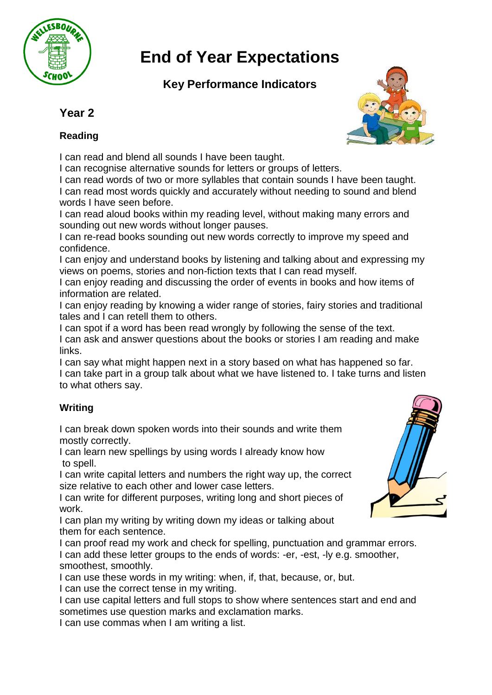

# **End of Year Expectations**

## **Key Performance Indicators**

## **Year 2**

### **Reading**

I can read and blend all sounds I have been taught.

I can recognise alternative sounds for letters or groups of letters.

I can read words of two or more syllables that contain sounds I have been taught. I can read most words quickly and accurately without needing to sound and blend words I have seen before.

I can read aloud books within my reading level, without making many errors and sounding out new words without longer pauses.

I can re-read books sounding out new words correctly to improve my speed and confidence.

I can enjoy and understand books by listening and talking about and expressing my views on poems, stories and non-fiction texts that I can read myself.

I can enjoy reading and discussing the order of events in books and how items of information are related.

I can enjoy reading by knowing a wider range of stories, fairy stories and traditional tales and I can retell them to others.

I can spot if a word has been read wrongly by following the sense of the text. I can ask and answer questions about the books or stories I am reading and make links.

I can say what might happen next in a story based on what has happened so far. I can take part in a group talk about what we have listened to. I take turns and listen to what others say.

## **Writing**

I can break down spoken words into their sounds and write them mostly correctly.

I can learn new spellings by using words I already know how to spell.

I can write capital letters and numbers the right way up, the correct size relative to each other and lower case letters.

I can write for different purposes, writing long and short pieces of work.

I can plan my writing by writing down my ideas or talking about them for each sentence.

I can proof read my work and check for spelling, punctuation and grammar errors. I can add these letter groups to the ends of words: -er, -est, -ly e.g. smoother, smoothest, smoothly.

I can use these words in my writing: when, if, that, because, or, but. I can use the correct tense in my writing.

I can use capital letters and full stops to show where sentences start and end and sometimes use question marks and exclamation marks.

I can use commas when I am writing a list.